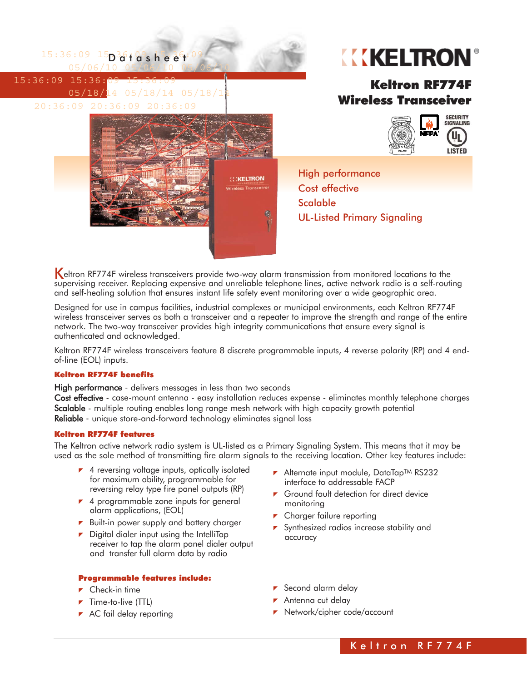

Keltron RF774F wireless transceivers provide two-way alarm transmission from monitored locations to the supervising receiver. Replacing expensive and unreliable telephone lines, active network radio is a self-routing and self-healing solution that ensures instant life safety event monitoring over a wide geographic area.

Designed for use in campus facilities, industrial complexes or municipal environments, each Keltron RF774F wireless transceiver serves as both a transceiver and a repeater to improve the strength and range of the entire network. The two-way transceiver provides high integrity communications that ensure every signal is authenticated and acknowledged.

Keltron RF774F wireless transceivers feature 8 discrete programmable inputs, 4 reverse polarity (RP) and 4 endof-line (EOL) inputs.

### Keltron RF774F benefits

High performance - delivers messages in less than two seconds

Cost effective - case-mount antenna - easy installation reduces expense - eliminates monthly telephone charges Scalable - multiple routing enables long range mesh network with high capacity growth potential Reliable - unique store-and-forward technology eliminates signal loss

## Keltron RF774F features

The Keltron active network radio system is UL-listed as a Primary Signaling System. This means that it may be used as the sole method of transmitting fire alarm signals to the receiving location. Other key features include:

- ▼ 4 reversing voltage inputs, optically isolated for maximum ability, programmable for reversing relay type fire panel outputs (RP)
- ▼ 4 programmable zone inputs for general alarm applications, (EOL)
- Built-in power supply and battery charger
- $\triangleright$  Digital dialer input using the IntelliTap receiver to tap the alarm panel dialer output and transfer full alarm data by radio

### Programmable features include:

- $\blacktriangleright$  Check-in time
- $\blacktriangleright$  Time-to-live (TTL)
- AC fail delay reporting
- ▶ Alternate input module, DataTap™ RS232 interface to addressable FACP
- ▼ Ground fault detection for direct device monitoring
- **F** Charger failure reporting
- **F** Synthesized radios increase stability and accuracy
- Second alarm delay
- Antenna cut delay
- **Network/cipher code/account**